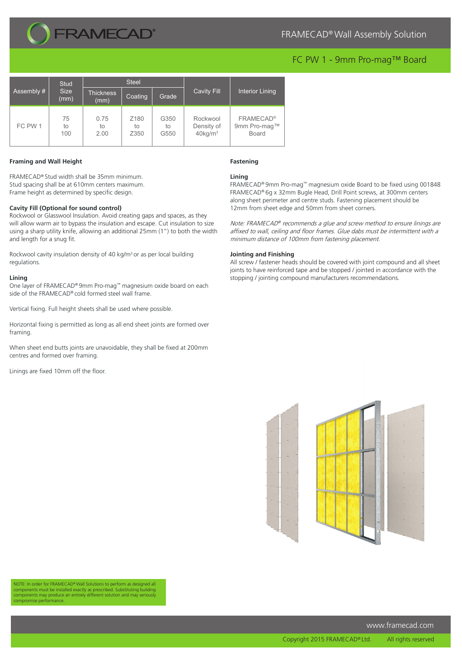

# FC PW 1 - 9mm Pro-mag™ Board

| Assembly # | Stud<br><b>Size</b><br>(mm) | <b>Steel</b>             |                    |                    |                                                  |                                                  |
|------------|-----------------------------|--------------------------|--------------------|--------------------|--------------------------------------------------|--------------------------------------------------|
|            |                             | <b>Thickness</b><br>(mm) | Coating            | Grade              | <b>Cavity Fill</b>                               | <b>Interior Lining</b>                           |
| FC PW 1    | 75<br>to<br>100             | 0.75<br>to<br>2.00       | Z180<br>to<br>Z350 | G350<br>to<br>G550 | Rockwool<br>Density of<br>$40$ kg/m <sup>3</sup> | <b>FRAMECAD®</b><br>9mm Pro-mag™<br><b>Board</b> |

#### **Framing and Wall Height**

FRAMECAD® Stud width shall be 35mm minimum. Stud spacing shall be at 610mm centers maximum. Frame height as determined by specific design.

### **Cavity Fill (Optional for sound control)**

Rockwool or Glasswool Insulation. Avoid creating gaps and spaces, as they will allow warm air to bypass the insulation and escape. Cut insulation to size using a sharp utility knife, allowing an additional 25mm (1") to both the width and length for a snug fit.

Rockwool cavity insulation density of 40 kg/m<sup>3</sup> or as per local building regulations.

#### **Lining**

One layer of FRAMECAD® 9mm Pro-mag™ magnesium oxide board on each side of the FRAMECAD® cold formed steel wall frame.

Vertical fixing. Full height sheets shall be used where possible.

Horizontal fixing is permitted as long as all end sheet joints are formed over framing.

When sheet end butts joints are unavoidable, they shall be fixed at 200mm centres and formed over framing.

Linings are fixed 10mm off the floor.

# **Fastening**

## **Lining**

FRAMECAD® 9mm Pro-mag™ magnesium oxide Board to be fixed using 001848 FRAMECAD® 6g x 32mm Bugle Head, Drill Point screws, at 300mm centers along sheet perimeter and centre studs. Fastening placement should be 12mm from sheet edge and 50mm from sheet corners.

Note: FRAMECAD® recommends a glue and screw method to ensure linings are affixed to wall, ceiling and floor frames. Glue dabs must be intermittent with a minimum distance of 100mm from fastening placement.

#### **Jointing and Finishing**

All screw / fastener heads should be covered with joint compound and all sheet joints to have reinforced tape and be stopped / jointed in accordance with the stopping / jointing compound manufacturers recommendations.



NOTE: In order for FRAMECAD® Wall Solutions to perform as designed all components must be installed exactly as prescribed. Substituting building components may produce an entirely different solution and may seriously compromise performance.